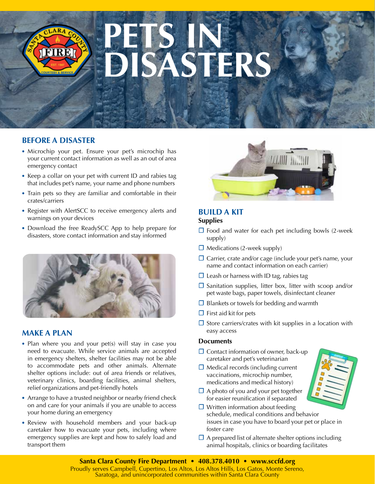# **PETS IN SASTERS**

# **BEFORE A DISASTER**

FIRE

- **•** Microchip your pet. Ensure your pet's microchip has your current contact information as well as an out of area emergency contact
- **•** Keep a collar on your pet with current ID and rabies tag that includes pet's name, your name and phone numbers
- **•** Train pets so they are familiar and comfortable in their crates/carriers
- **•** Register with AlertSCC to receive emergency alerts and warnings on your devices
- **•** Download the free ReadySCC App to help prepare for disasters, store contact information and stay informed



### **MAKE A PLAN**

- **•** Plan where you and your pet(s) will stay in case you need to evacuate. While service animals are accepted in emergency shelters, shelter facilities may not be able to accommodate pets and other animals. Alternate shelter options include: out of area friends or relatives, veterinary clinics, boarding facilities, animal shelters, relief organizations and pet-friendly hotels
- **•** Arrange to have a trusted neighbor or nearby friend check on and care for your animals if you are unable to access your home during an emergency
- **•** Review with household members and your back-up caretaker how to evacuate your pets, including where emergency supplies are kept and how to safely load and transport them



#### **BUILD A KIT Supplies**

- **☐** Food and water for each pet including bowls (2-week supply)
- **☐** Medications (2-week supply)
- **☐** Carrier, crate and/or cage (include your pet's name, your name and contact information on each carrier)
- **☐** Leash or harness with ID tag, rabies tag
- **☐** Sanitation supplies, litter box, litter with scoop and/or pet waste bags, paper towels, disinfectant cleaner
- **☐** Blankets or towels for bedding and warmth
- **☐** First aid kit for pets
- **☐** Store carriers/crates with kit supplies in a location with easy access

#### **Documents**

- **☐** Contact information of owner, back-up caretaker and pet's veterinarian
- **☐** Medical records (including current vaccinations, microchip number, medications and medical history)
- **☐** A photo of you and your pet together for easier reunification if separated
- **☐** Written information about feeding schedule, medical conditions and behavior issues in case you have to board your pet or place in foster care
- **☐** A prepared list of alternate shelter options including animal hospitals, clinics or boarding facilitates